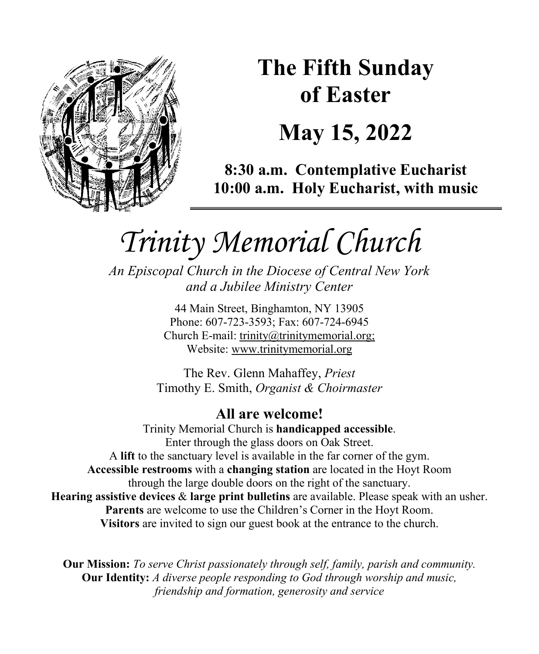

# **The Fifth Sunday of Easter**

# **May 15, 2022**

**8:30 a.m. Contemplative Eucharist 10:00 a.m. Holy Eucharist, with music**

*Trinity Memorial Church*

*An Episcopal Church in the Diocese of Central New York and a Jubilee Ministry Center* 

> 44 Main Street, Binghamton, NY 13905 Phone: 607-723-3593; Fax: 607-724-6945 Church E-mail: trinity@trinitymemorial.org; Website: www.trinitymemorial.org

The Rev. Glenn Mahaffey, *Priest* Timothy E. Smith, *Organist & Choirmaster* 

## **All are welcome!**

Trinity Memorial Church is **handicapped accessible**. Enter through the glass doors on Oak Street. A **lift** to the sanctuary level is available in the far corner of the gym. **Accessible restrooms** with a **changing station** are located in the Hoyt Room through the large double doors on the right of the sanctuary. **Hearing assistive devices** & **large print bulletins** are available. Please speak with an usher. **Parents** are welcome to use the Children's Corner in the Hoyt Room. **Visitors** are invited to sign our guest book at the entrance to the church.

**Our Mission:** *To serve Christ passionately through self, family, parish and community.*  **Our Identity:** *A diverse people responding to God through worship and music, friendship and formation, generosity and service*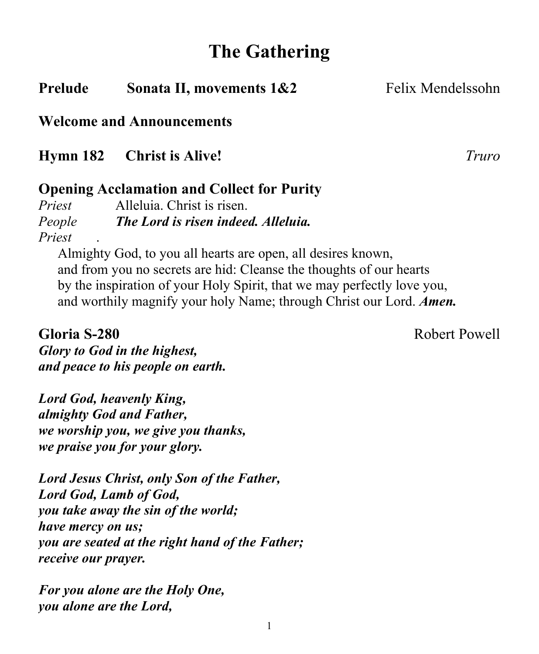# **The Gathering**

### **Prelude Sonata II, movements 1&2** Felix Mendelssohn

### **Welcome and Announcements**

### **Hymn 182 Christ is Alive!** *Truro*

### **Opening Acclamation and Collect for Purity**

*Priest* Alleluia. Christ is risen. *People The Lord is risen indeed. Alleluia. Priest* .

Almighty God, to you all hearts are open, all desires known, and from you no secrets are hid: Cleanse the thoughts of our hearts by the inspiration of your Holy Spirit, that we may perfectly love you, and worthily magnify your holy Name; through Christ our Lord. *Amen.*

**Gloria S-280** Robert Powell *Glory to God in the highest, and peace to his people on earth.*

*Lord God, heavenly King, almighty God and Father, we worship you, we give you thanks, we praise you for your glory.*

*Lord Jesus Christ, only Son of the Father, Lord God, Lamb of God, you take away the sin of the world; have mercy on us; you are seated at the right hand of the Father; receive our prayer.*

*For you alone are the Holy One, you alone are the Lord,*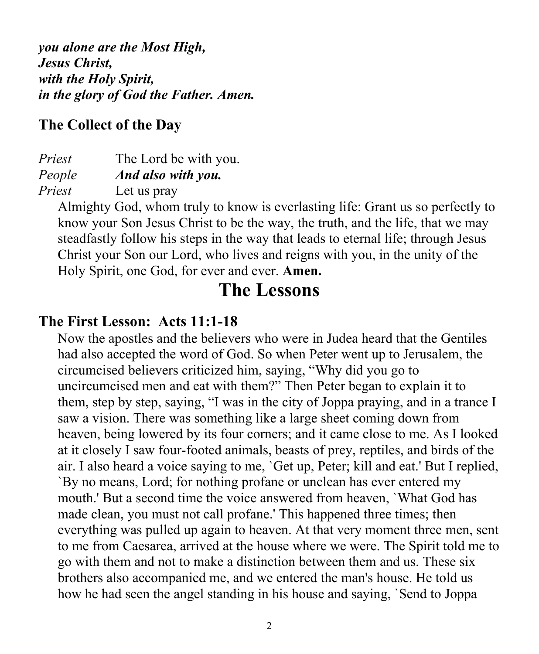*you alone are the Most High, Jesus Christ, with the Holy Spirit, in the glory of God the Father. Amen.*

### **The Collect of the Day**

*Priest* The Lord be with you. *People And also with you. Priest* Let us pray

Almighty God, whom truly to know is everlasting life: Grant us so perfectly to know your Son Jesus Christ to be the way, the truth, and the life, that we may steadfastly follow his steps in the way that leads to eternal life; through Jesus Christ your Son our Lord, who lives and reigns with you, in the unity of the Holy Spirit, one God, for ever and ever. **Amen.**

# **The Lessons**

# **The First Lesson: Acts 11:1-18**

Now the apostles and the believers who were in Judea heard that the Gentiles had also accepted the word of God. So when Peter went up to Jerusalem, the circumcised believers criticized him, saying, "Why did you go to uncircumcised men and eat with them?" Then Peter began to explain it to them, step by step, saying, "I was in the city of Joppa praying, and in a trance I saw a vision. There was something like a large sheet coming down from heaven, being lowered by its four corners; and it came close to me. As I looked at it closely I saw four-footed animals, beasts of prey, reptiles, and birds of the air. I also heard a voice saying to me, `Get up, Peter; kill and eat.' But I replied, `By no means, Lord; for nothing profane or unclean has ever entered my mouth.' But a second time the voice answered from heaven, `What God has made clean, you must not call profane.' This happened three times; then everything was pulled up again to heaven. At that very moment three men, sent to me from Caesarea, arrived at the house where we were. The Spirit told me to go with them and not to make a distinction between them and us. These six brothers also accompanied me, and we entered the man's house. He told us how he had seen the angel standing in his house and saying, `Send to Joppa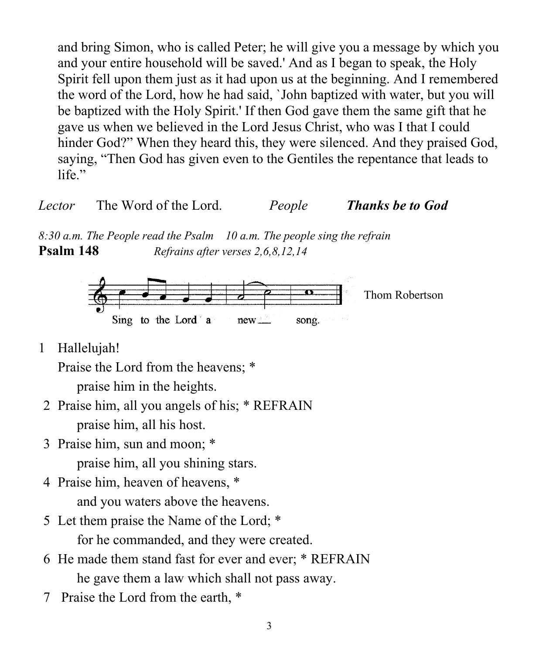and bring Simon, who is called Peter; he will give you a message by which you and your entire household will be saved.' And as I began to speak, the Holy Spirit fell upon them just as it had upon us at the beginning. And I remembered the word of the Lord, how he had said, `John baptized with water, but you will be baptized with the Holy Spirit.' If then God gave them the same gift that he gave us when we believed in the Lord Jesus Christ, who was I that I could hinder God?" When they heard this, they were silenced. And they praised God, saying, "Then God has given even to the Gentiles the repentance that leads to life."

*Lector* The Word of the Lord. *People Thanks be to God*

*8:30 a.m. The People read the Psalm 10 a.m. The people sing the refrain* **Psalm 148** *Refrains after verses 2,6,8,12,14*



1 Hallelujah!

Praise the Lord from the heavens; \*

praise him in the heights.

- 2 Praise him, all you angels of his; \* REFRAIN praise him, all his host.
- 3 Praise him, sun and moon; \* praise him, all you shining stars.
- 4 Praise him, heaven of heavens, \* and you waters above the heavens.
- 5 Let them praise the Name of the Lord; \* for he commanded, and they were created.
- 6 He made them stand fast for ever and ever; \* REFRAIN he gave them a law which shall not pass away.
- 7 Praise the Lord from the earth, \*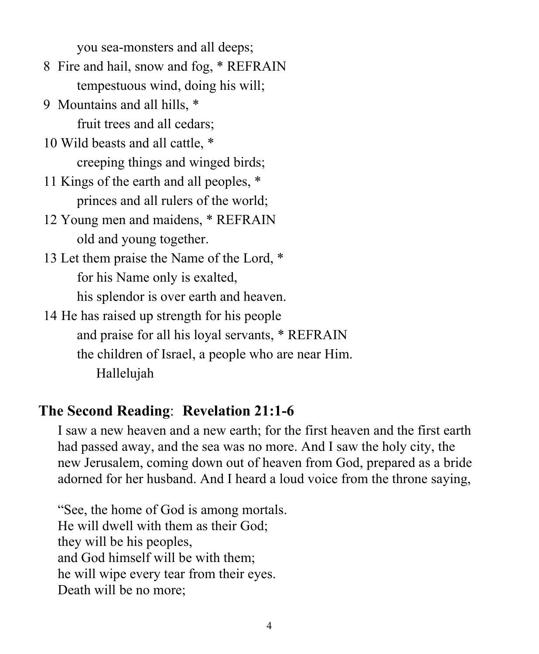you sea-monsters and all deeps;

- 8 Fire and hail, snow and fog, \* REFRAIN tempestuous wind, doing his will;
- 9 Mountains and all hills, \*

fruit trees and all cedars;

- 10 Wild beasts and all cattle, \* creeping things and winged birds;
- 11 Kings of the earth and all peoples, \* princes and all rulers of the world;
- 12 Young men and maidens, \* REFRAIN old and young together.
- 13 Let them praise the Name of the Lord, \* for his Name only is exalted, his splendor is over earth and heaven.
- 14 He has raised up strength for his people and praise for all his loyal servants, \* REFRAIN the children of Israel, a people who are near Him. Hallelujah

# **The Second Reading**: **Revelation 21:1-6**

I saw a new heaven and a new earth; for the first heaven and the first earth had passed away, and the sea was no more. And I saw the holy city, the new Jerusalem, coming down out of heaven from God, prepared as a bride adorned for her husband. And I heard a loud voice from the throne saying,

"See, the home of God is among mortals. He will dwell with them as their God; they will be his peoples, and God himself will be with them; he will wipe every tear from their eyes. Death will be no more;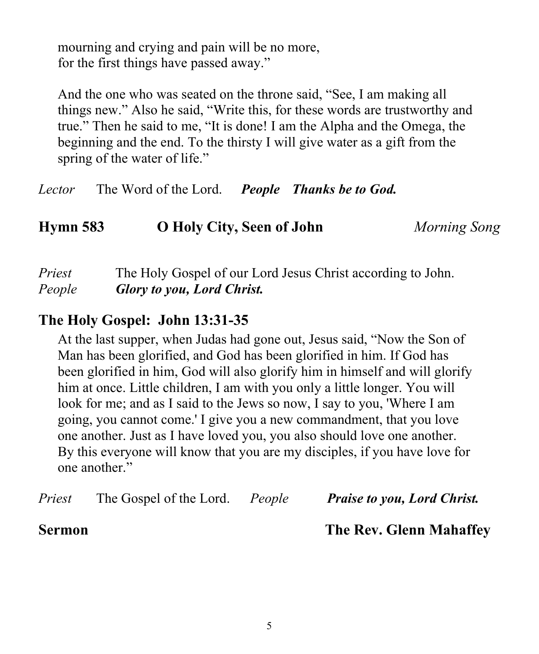mourning and crying and pain will be no more, for the first things have passed away."

And the one who was seated on the throne said, "See, I am making all things new." Also he said, "Write this, for these words are trustworthy and true." Then he said to me, "It is done! I am the Alpha and the Omega, the beginning and the end. To the thirsty I will give water as a gift from the spring of the water of life."

*Lector* The Word of the Lord.*People Thanks be to God.*

**Hymn 583 O Holy City, Seen of John** *Morning Song*

*Priest* The Holy Gospel of our Lord Jesus Christ according to John. *People Glory to you, Lord Christ.*

### **The Holy Gospel: John 13:31-35**

At the last supper, when Judas had gone out, Jesus said, "Now the Son of Man has been glorified, and God has been glorified in him. If God has been glorified in him, God will also glorify him in himself and will glorify him at once. Little children, I am with you only a little longer. You will look for me; and as I said to the Jews so now, I say to you, 'Where I am going, you cannot come.' I give you a new commandment, that you love one another. Just as I have loved you, you also should love one another. By this everyone will know that you are my disciples, if you have love for one another."

*Priest* The Gospel of the Lord. *People Praise to you, Lord Christ.* **Sermon The Rev. Glenn Mahaffey**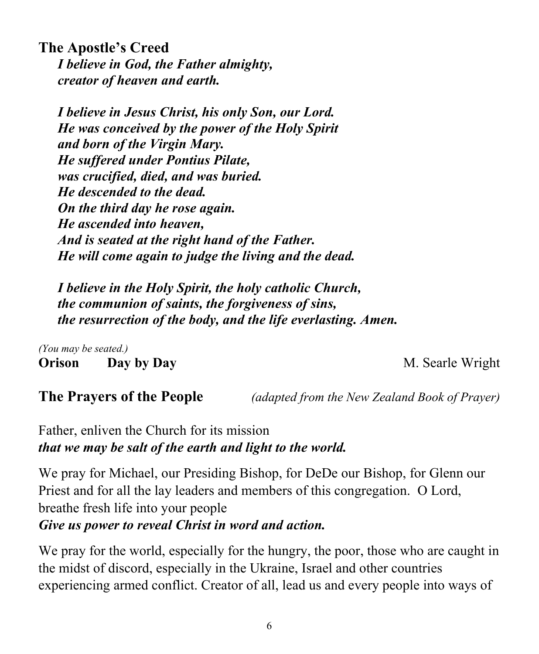**The Apostle's Creed** *I believe in God, the Father almighty, creator of heaven and earth.*

*I believe in Jesus Christ, his only Son, our Lord. He was conceived by the power of the Holy Spirit and born of the Virgin Mary. He suffered under Pontius Pilate, was crucified, died, and was buried. He descended to the dead. On the third day he rose again. He ascended into heaven, And is seated at the right hand of the Father. He will come again to judge the living and the dead.*

*I believe in the Holy Spirit, the holy catholic Church, the communion of saints, the forgiveness of sins, the resurrection of the body, and the life everlasting. Amen.*

*(You may be seated.)* **Orison Day by Day** M. Searle Wright

**The Prayers of the People** *(adapted from the New Zealand Book of Prayer)*

Father, enliven the Church for its mission *that we may be salt of the earth and light to the world.*

We pray for Michael, our Presiding Bishop, for DeDe our Bishop, for Glenn our Priest and for all the lay leaders and members of this congregation. O Lord, breathe fresh life into your people *Give us power to reveal Christ in word and action.*

We pray for the world, especially for the hungry, the poor, those who are caught in the midst of discord, especially in the Ukraine, Israel and other countries experiencing armed conflict. Creator of all, lead us and every people into ways of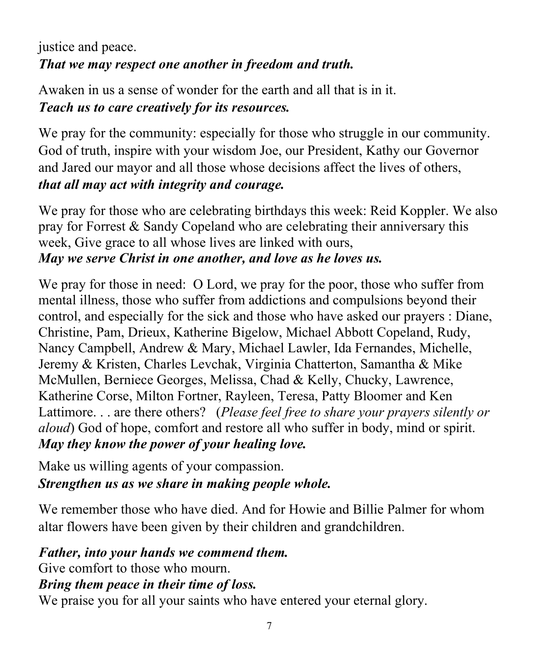# justice and peace. *That we may respect one another in freedom and truth.*

Awaken in us a sense of wonder for the earth and all that is in it. *Teach us to care creatively for its resources.*

We pray for the community: especially for those who struggle in our community. God of truth, inspire with your wisdom Joe, our President, Kathy our Governor and Jared our mayor and all those whose decisions affect the lives of others, *that all may act with integrity and courage.*

We pray for those who are celebrating birthdays this week: Reid Koppler. We also pray for Forrest & Sandy Copeland who are celebrating their anniversary this week, Give grace to all whose lives are linked with ours, *May we serve Christ in one another, and love as he loves us.*

We pray for those in need: O Lord, we pray for the poor, those who suffer from mental illness, those who suffer from addictions and compulsions beyond their control, and especially for the sick and those who have asked our prayers : Diane, Christine, Pam, Drieux, Katherine Bigelow, Michael Abbott Copeland, Rudy, Nancy Campbell, Andrew & Mary, Michael Lawler, Ida Fernandes, Michelle, Jeremy & Kristen, Charles Levchak, Virginia Chatterton, Samantha & Mike McMullen, Berniece Georges, Melissa, Chad & Kelly, Chucky, Lawrence, Katherine Corse, Milton Fortner, Rayleen, Teresa, Patty Bloomer and Ken Lattimore. . . are there others? (*Please feel free to share your prayers silently or aloud*) God of hope, comfort and restore all who suffer in body, mind or spirit. *May they know the power of your healing love.*

Make us willing agents of your compassion. *Strengthen us as we share in making people whole.*

We remember those who have died. And for Howie and Billie Palmer for whom altar flowers have been given by their children and grandchildren.

### *Father, into your hands we commend them.*

Give comfort to those who mourn.

## *Bring them peace in their time of loss.*

We praise you for all your saints who have entered your eternal glory.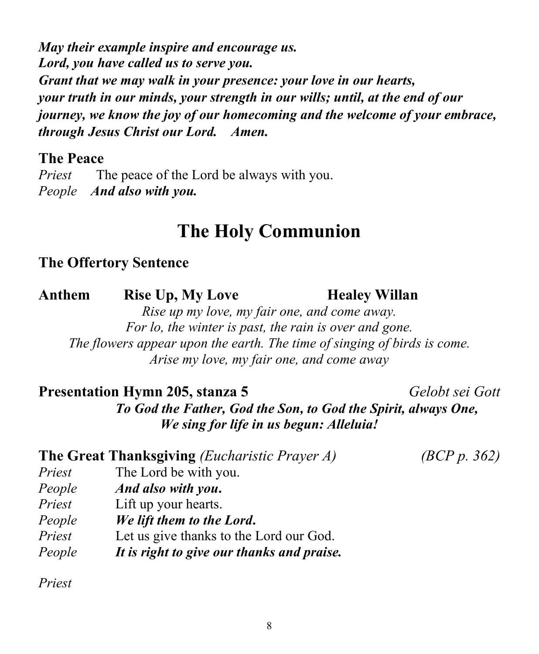*May their example inspire and encourage us. Lord, you have called us to serve you. Grant that we may walk in your presence: your love in our hearts, your truth in our minds, your strength in our wills; until, at the end of our journey, we know the joy of our homecoming and the welcome of your embrace, through Jesus Christ our Lord. Amen.*

### **The Peace**

*Priest* The peace of the Lord be always with you. *People And also with you.*

# **The Holy Communion**

### **The Offertory Sentence**

Anthem Rise Up, My Love **Healey Willan** *Rise up my love, my fair one, and come away.* 

*For lo, the winter is past, the rain is over and gone. The flowers appear upon the earth. The time of singing of birds is come. Arise my love, my fair one, and come away*

**Presentation Hymn 205, stanza 5** *Gelobt sei Gott To God the Father, God the Son, to God the Spirit, always One, We sing for life in us begun: Alleluia!*

**The Great Thanksgiving** *(Eucharistic Prayer A) (BCP p. 362)*

|        | <b>The Great Thanksgiving</b> ( <i>Eucharistic Prayer A</i> ) |
|--------|---------------------------------------------------------------|
| Priest | The Lord be with you.                                         |
| People | And also with you.                                            |
| Priest | Lift up your hearts.                                          |
| People | We lift them to the Lord.                                     |
| Priest | Let us give thanks to the Lord our God.                       |
| People | It is right to give our thanks and praise.                    |
|        |                                                               |

*Priest*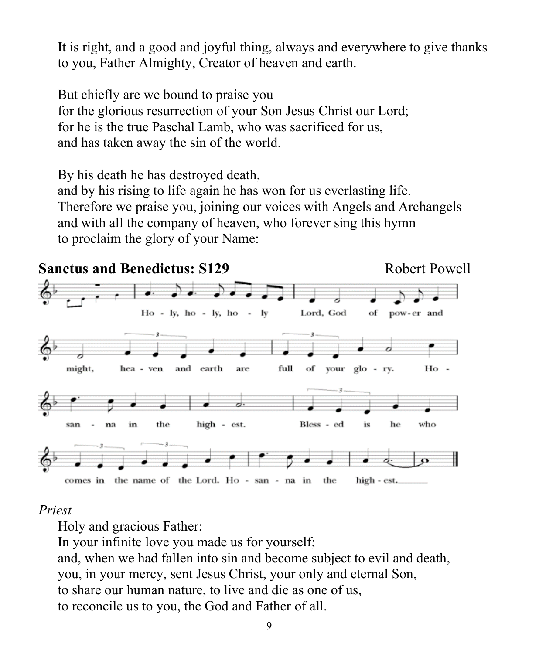It is right, and a good and joyful thing, always and everywhere to give thanks to you, Father Almighty, Creator of heaven and earth.

But chiefly are we bound to praise you for the glorious resurrection of your Son Jesus Christ our Lord; for he is the true Paschal Lamb, who was sacrificed for us, and has taken away the sin of the world.

By his death he has destroyed death,

and by his rising to life again he has won for us everlasting life. Therefore we praise you, joining our voices with Angels and Archangels and with all the company of heaven, who forever sing this hymn to proclaim the glory of your Name:



#### *Priest*

Holy and gracious Father:

In your infinite love you made us for yourself; and, when we had fallen into sin and become subject to evil and death, you, in your mercy, sent Jesus Christ, your only and eternal Son, to share our human nature, to live and die as one of us, to reconcile us to you, the God and Father of all.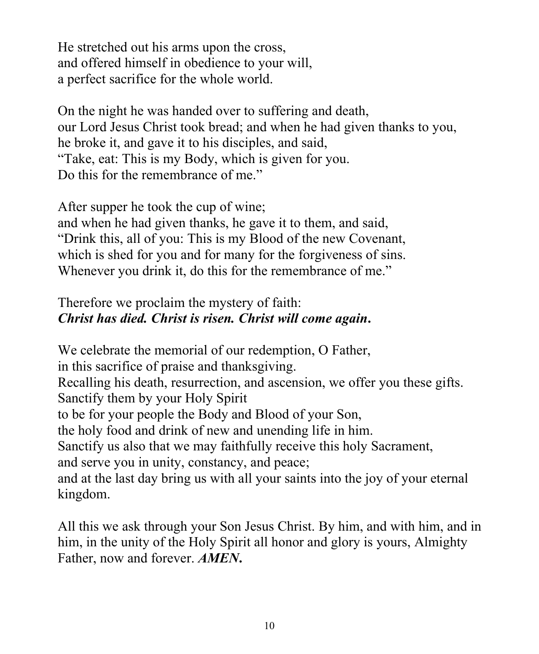He stretched out his arms upon the cross, and offered himself in obedience to your will, a perfect sacrifice for the whole world.

On the night he was handed over to suffering and death, our Lord Jesus Christ took bread; and when he had given thanks to you, he broke it, and gave it to his disciples, and said, "Take, eat: This is my Body, which is given for you. Do this for the remembrance of me."

After supper he took the cup of wine; and when he had given thanks, he gave it to them, and said, "Drink this, all of you: This is my Blood of the new Covenant, which is shed for you and for many for the forgiveness of sins. Whenever you drink it, do this for the remembrance of me."

### Therefore we proclaim the mystery of faith: *Christ has died. Christ is risen. Christ will come again***.**

We celebrate the memorial of our redemption, O Father, in this sacrifice of praise and thanksgiving. Recalling his death, resurrection, and ascension, we offer you these gifts. Sanctify them by your Holy Spirit to be for your people the Body and Blood of your Son, the holy food and drink of new and unending life in him. Sanctify us also that we may faithfully receive this holy Sacrament, and serve you in unity, constancy, and peace; and at the last day bring us with all your saints into the joy of your eternal kingdom.

All this we ask through your Son Jesus Christ. By him, and with him, and in him, in the unity of the Holy Spirit all honor and glory is yours, Almighty Father, now and forever. *AMEN***.**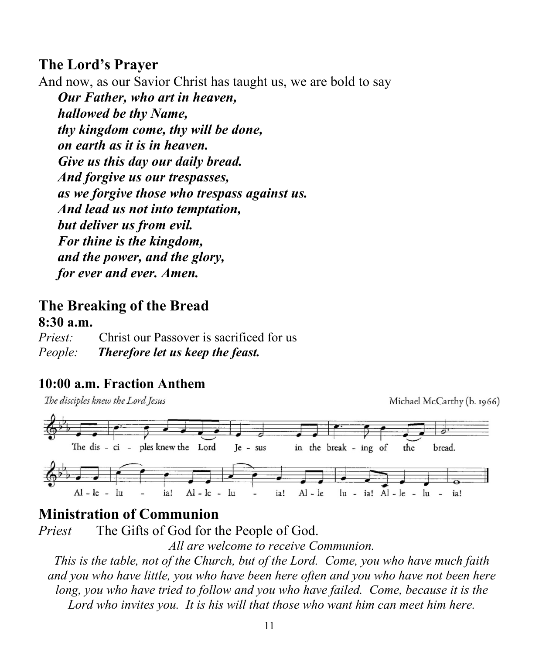## **The Lord's Prayer**

And now, as our Savior Christ has taught us, we are bold to say

*Our Father, who art in heaven, hallowed be thy Name, thy kingdom come, thy will be done, on earth as it is in heaven. Give us this day our daily bread. And forgive us our trespasses, as we forgive those who trespass against us. And lead us not into temptation, but deliver us from evil. For thine is the kingdom, and the power, and the glory, for ever and ever. Amen.*

#### **The Breaking of the Bread 8:30 a.m.**

*Priest:* Christ our Passover is sacrificed for us *People: Therefore let us keep the feast.*

### **10:00 a.m. Fraction Anthem**



## **Ministration of Communion**

*Priest* The Gifts of God for the People of God.

*All are welcome to receive Communion.* 

*This is the table, not of the Church, but of the Lord. Come, you who have much faith and you who have little, you who have been here often and you who have not been here*  long, you who have tried to follow and you who have failed. Come, because it is the *Lord who invites you. It is his will that those who want him can meet him here.*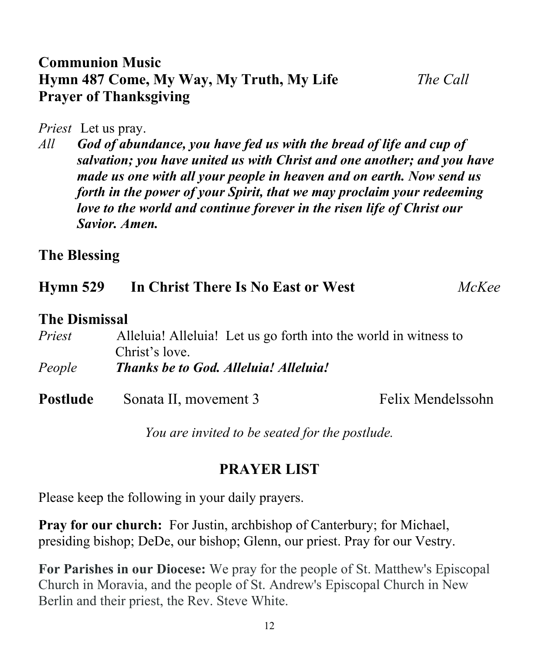# **Communion Music Hymn 487 Come, My Way, My Truth, My Life** *The Call* **Prayer of Thanksgiving**

#### *Priest* Let us pray.

*All God of abundance, you have fed us with the bread of life and cup of salvation; you have united us with Christ and one another; and you have made us one with all your people in heaven and on earth. Now send us forth in the power of your Spirit, that we may proclaim your redeeming love to the world and continue forever in the risen life of Christ our Savior. Amen.* 

**The Blessing**

|                      | <b>EXAMPLE 229 IN CHILIST LIBER 18 180 EAST OF WEST</b>                            | MCNEE             |
|----------------------|------------------------------------------------------------------------------------|-------------------|
| <b>The Dismissal</b> |                                                                                    |                   |
| Priest               | Alleluia! Alleluia! Let us go forth into the world in witness to<br>Christ's love. |                   |
| People               | <b>Thanks be to God. Alleluia! Alleluia!</b>                                       |                   |
| <b>Postlude</b>      | Sonata II, movement 3                                                              | Felix Mendelssohn |

**Hymn 529 In Christ There Is No East or West** *McKee*

*You are invited to be seated for the postlude.* 

# **PRAYER LIST**

Please keep the following in your daily prayers.

**Pray for our church:** For Justin, archbishop of Canterbury; for Michael, presiding bishop; DeDe, our bishop; Glenn, our priest. Pray for our Vestry.

**For Parishes in our Diocese:** We pray for the people of St. Matthew's Episcopal Church in Moravia, and the people of St. Andrew's Episcopal Church in New Berlin and their priest, the Rev. Steve White.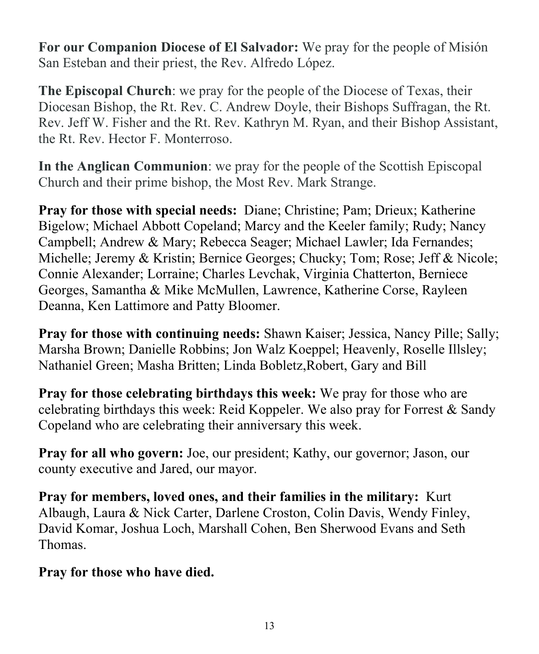**For our Companion Diocese of El Salvador:** We pray for the people of Misión San Esteban and their priest, the Rev. Alfredo López.

**The Episcopal Church**: we pray for the people of the Diocese of Texas, their Diocesan Bishop, the Rt. Rev. C. Andrew Doyle, their Bishops Suffragan, the Rt. Rev. Jeff W. Fisher and the Rt. Rev. Kathryn M. Ryan, and their Bishop Assistant, the Rt. Rev. Hector F. Monterroso.

**In the Anglican Communion**: we pray for the people of the Scottish Episcopal Church and their prime bishop, the Most Rev. Mark Strange.

**Pray for those with special needs:** Diane; Christine; Pam; Drieux; Katherine Bigelow; Michael Abbott Copeland; Marcy and the Keeler family; Rudy; Nancy Campbell; Andrew & Mary; Rebecca Seager; Michael Lawler; Ida Fernandes; Michelle; Jeremy & Kristin; Bernice Georges; Chucky; Tom; Rose; Jeff & Nicole; Connie Alexander; Lorraine; Charles Levchak, Virginia Chatterton, Berniece Georges, Samantha & Mike McMullen, Lawrence, Katherine Corse, Rayleen Deanna, Ken Lattimore and Patty Bloomer.

**Pray for those with continuing needs:** Shawn Kaiser; Jessica, Nancy Pille; Sally; Marsha Brown; Danielle Robbins; Jon Walz Koeppel; Heavenly, Roselle Illsley; Nathaniel Green; Masha Britten; Linda Bobletz,Robert, Gary and Bill

**Pray for those celebrating birthdays this week:** We pray for those who are celebrating birthdays this week: Reid Koppeler. We also pray for Forrest & Sandy Copeland who are celebrating their anniversary this week.

**Pray for all who govern:** Joe, our president; Kathy, our governor; Jason, our county executive and Jared, our mayor.

**Pray for members, loved ones, and their families in the military:** Kurt Albaugh, Laura & Nick Carter, Darlene Croston, Colin Davis, Wendy Finley, David Komar, Joshua Loch, Marshall Cohen, Ben Sherwood Evans and Seth Thomas.

### **Pray for those who have died.**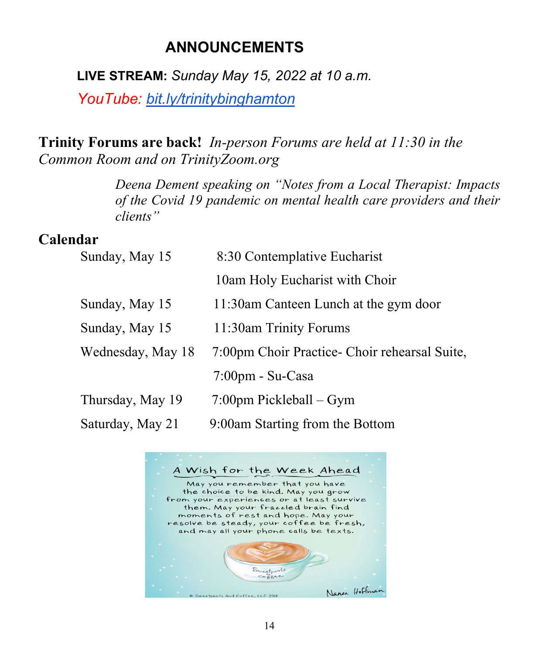# **ANNOUNCEMENTS**

**LIVE STREAM:** *Sunday May 15, 2022 at 10 a.m.* 

*YouTube: [bit.ly/trinitybinghamton](https://www.youtube.com/c/TrinityMemorialEpiscopalChurch)*

**Trinity Forums are back!** *In-person Forums are held at 11:30 in the Common Room and on TrinityZoom.org*

> *Deena Dement speaking on "Notes from a Local Therapist: Impacts of the Covid 19 pandemic on mental health care providers and their clients"*

### **Calendar**

| Sunday, May 15    | 8:30 Contemplative Eucharist                  |
|-------------------|-----------------------------------------------|
|                   | 10am Holy Eucharist with Choir                |
| Sunday, May 15    | 11:30am Canteen Lunch at the gym door         |
| Sunday, May 15    | 11:30am Trinity Forums                        |
| Wednesday, May 18 | 7:00pm Choir Practice- Choir rehearsal Suite, |
|                   | $7:00$ pm - Su-Casa                           |
| Thursday, May 19  | 7:00pm Pickleball – Gym                       |
| Saturday, May 21  | 9:00am Starting from the Bottom               |